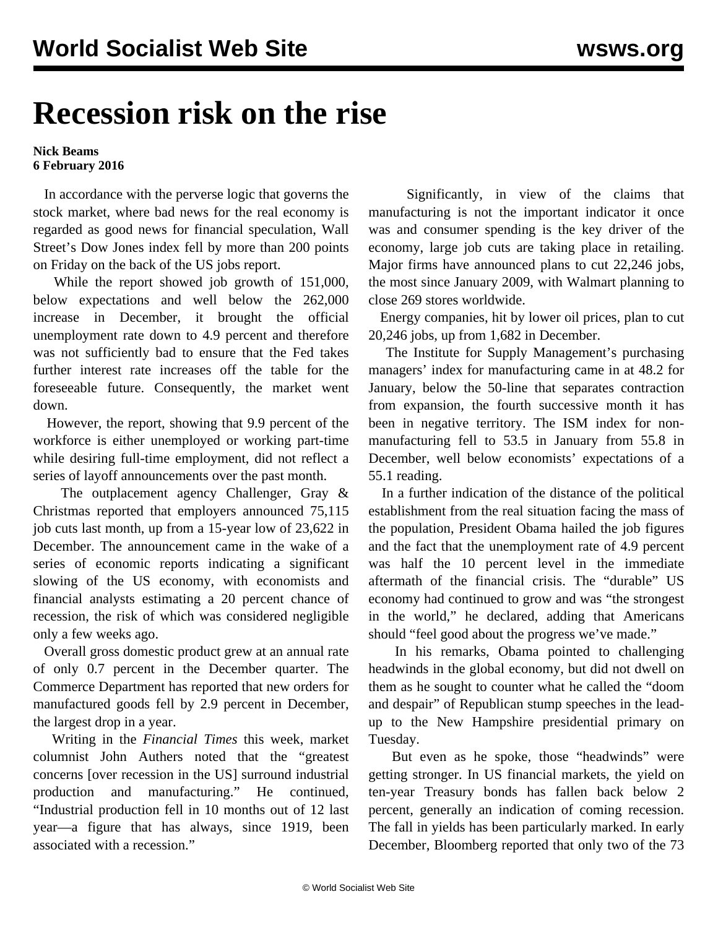## **Recession risk on the rise**

**Nick Beams 6 February 2016**

 In accordance with the perverse logic that governs the stock market, where bad news for the real economy is regarded as good news for financial speculation, Wall Street's Dow Jones index fell by more than 200 points on Friday on the back of the US jobs report.

 While the report showed job growth of 151,000, below expectations and well below the 262,000 increase in December, it brought the official unemployment rate down to 4.9 percent and therefore was not sufficiently bad to ensure that the Fed takes further interest rate increases off the table for the foreseeable future. Consequently, the market went down.

 However, the report, showing that 9.9 percent of the workforce is either unemployed or working part-time while desiring full-time employment, did not reflect a series of layoff announcements over the past month.

 The outplacement agency Challenger, Gray & Christmas reported that employers announced 75,115 job cuts last month, up from a 15-year low of 23,622 in December. The announcement came in the wake of a series of economic reports indicating a significant slowing of the US economy, with economists and financial analysts estimating a 20 percent chance of recession, the risk of which was considered negligible only a few weeks ago.

 Overall gross domestic product grew at an annual rate of only 0.7 percent in the December quarter. The Commerce Department has reported that new orders for manufactured goods fell by 2.9 percent in December, the largest drop in a year.

 Writing in the *Financial Times* this week, market columnist John Authers noted that the "greatest concerns [over recession in the US] surround industrial production and manufacturing." He continued, "Industrial production fell in 10 months out of 12 last year—a figure that has always, since 1919, been associated with a recession."

 Significantly, in view of the claims that manufacturing is not the important indicator it once was and consumer spending is the key driver of the economy, large job cuts are taking place in retailing. Major firms have announced plans to cut 22,246 jobs, the most since January 2009, with Walmart planning to close 269 stores worldwide.

 Energy companies, hit by lower oil prices, plan to cut 20,246 jobs, up from 1,682 in December.

 The Institute for Supply Management's purchasing managers' index for manufacturing came in at 48.2 for January, below the 50-line that separates contraction from expansion, the fourth successive month it has been in negative territory. The ISM index for nonmanufacturing fell to 53.5 in January from 55.8 in December, well below economists' expectations of a 55.1 reading.

 In a further indication of the distance of the political establishment from the real situation facing the mass of the population, President Obama hailed the job figures and the fact that the unemployment rate of 4.9 percent was half the 10 percent level in the immediate aftermath of the financial crisis. The "durable" US economy had continued to grow and was "the strongest in the world," he declared, adding that Americans should "feel good about the progress we've made."

 In his remarks, Obama pointed to challenging headwinds in the global economy, but did not dwell on them as he sought to counter what he called the "doom and despair" of Republican stump speeches in the leadup to the New Hampshire presidential primary on Tuesday.

 But even as he spoke, those "headwinds" were getting stronger. In US financial markets, the yield on ten-year Treasury bonds has fallen back below 2 percent, generally an indication of coming recession. The fall in yields has been particularly marked. In early December, Bloomberg reported that only two of the 73